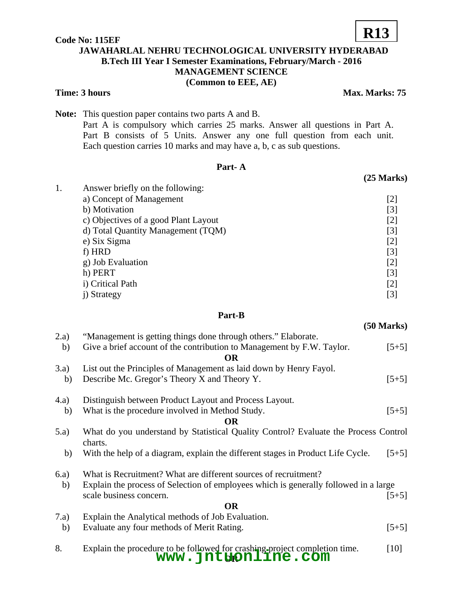### **Code No: 115EF JAWAHARLAL NEHRU TECHNOLOGICAL UNIVERSITY HYDERABAD B.Tech III Year I Semester Examinations, February/March - 2016 MANAGEMENT SCIENCE (Common to EEE, AE)**

#### **Time: 3 hours** Max. Marks: 75

**Note:** This question paper contains two parts A and B.

Part A is compulsory which carries 25 marks. Answer all questions in Part A. Part B consists of 5 Units. Answer any one full question from each unit. Each question carries 10 marks and may have a, b, c as sub questions.

#### **Part- A**

| 1. | Answer briefly on the following:     |       |  |  |  |
|----|--------------------------------------|-------|--|--|--|
|    | a) Concept of Management             | [2]   |  |  |  |
|    | b) Motivation                        | [3]   |  |  |  |
|    | c) Objectives of a good Plant Layout | $[2]$ |  |  |  |
|    | d) Total Quantity Management (TQM)   | $[3]$ |  |  |  |
|    | e) Six Sigma                         | [2]   |  |  |  |
|    | f) HRD                               | [3]   |  |  |  |
|    | g) Job Evaluation                    | $[2]$ |  |  |  |
|    | h) PERT                              | [3]   |  |  |  |
|    | i) Critical Path                     | [2]   |  |  |  |
|    | Strategy                             | [3]   |  |  |  |

#### **Part-B**

|           |                                                                                                  | $\sqrt{2}$ with $\sqrt{2}$ |  |  |
|-----------|--------------------------------------------------------------------------------------------------|----------------------------|--|--|
| 2.a)      | "Management is getting things done through others." Elaborate.                                   |                            |  |  |
| b)        | Give a brief account of the contribution to Management by F.W. Taylor.<br><b>OR</b>              | $[5+5]$                    |  |  |
| 3.a)      | List out the Principles of Management as laid down by Henry Fayol.                               |                            |  |  |
| b)        | Describe Mc. Gregor's Theory X and Theory Y.                                                     | $[5+5]$                    |  |  |
| (4.a)     | Distinguish between Product Layout and Process Layout.                                           |                            |  |  |
| b)        | What is the procedure involved in Method Study.                                                  | $[5+5]$                    |  |  |
| <b>OR</b> |                                                                                                  |                            |  |  |
| (5.a)     | What do you understand by Statistical Quality Control? Evaluate the Process Control<br>charts.   |                            |  |  |
| b)        | With the help of a diagram, explain the different stages in Product Life Cycle.                  | $[5+5]$                    |  |  |
| 6.a)      | What is Recruitment? What are different sources of recruitment?                                  |                            |  |  |
| b)        | Explain the process of Selection of employees which is generally followed in a large             |                            |  |  |
|           | scale business concern.                                                                          | $[5+5]$                    |  |  |
| <b>OR</b> |                                                                                                  |                            |  |  |
| 7.a)      | Explain the Analytical methods of Job Evaluation.                                                |                            |  |  |
| b)        | Evaluate any four methods of Merit Rating.                                                       | $[5+5]$                    |  |  |
| 8.        | Explain the procedure to be followed for crashing project completion time.<br>www.jntgpnline.com | $[10]$                     |  |  |

# **R13**

**(25 Marks)** 

## **(50 Marks)**